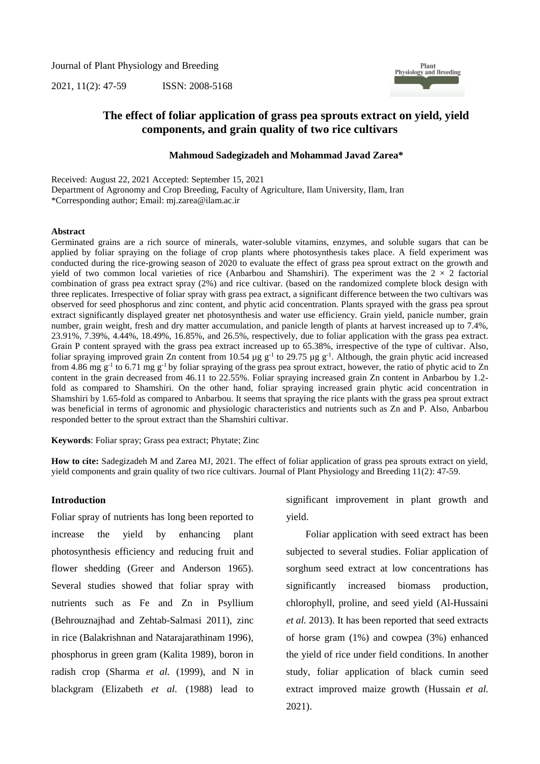Journal of Plant Physiology and Breeding

2021, 11(2): 47-59 ISSN: 2008-5168



## **The effect of foliar application of grass pea sprouts extract on yield, yield components, and grain quality of two rice cultivars**

### **Mahmoud Sadegizadeh and Mohammad Javad Zarea\***

Received: August 22, 2021 Accepted: September 15, 2021

Department of Agronomy and Crop Breeding, Faculty of Agriculture, Ilam University, Ilam, Iran \*Corresponding author; Email: mj.zarea@ilam.ac.ir

#### **Abstract**

Germinated grains are a rich source of minerals, water-soluble vitamins, enzymes, and soluble sugars that can be applied by foliar spraying on the foliage of crop plants where photosynthesis takes place. A field experiment was conducted during the rice-growing season of 2020 to evaluate the effect of grass pea sprout extract on the growth and yield of two common local varieties of rice (Anbarbou and Shamshiri). The experiment was the  $2 \times 2$  factorial combination of grass pea extract spray (2%) and rice cultivar. (based on the randomized complete block design with three replicates. Irrespective of foliar spray with grass pea extract, a significant difference between the two cultivars was observed for seed phosphorus and zinc content, and phytic acid concentration. Plants sprayed with the grass pea sprout extract significantly displayed greater net photosynthesis and water use efficiency. Grain yield, panicle number, grain number, grain weight, fresh and dry matter accumulation, and panicle length of plants at harvest increased up to 7.4%, 23.91%, 7.39%, 4.44%, 18.49%, 16.85%, and 26.5%, respectively, due to foliar application with the grass pea extract. Grain P content sprayed with the grass pea extract increased up to 65.38%, irrespective of the type of cultivar. Also, foliar spraying improved grain Zn content from 10.54  $\mu$ g g<sup>-1</sup> to 29.75  $\mu$ g g<sup>-1</sup>. Although, the grain phytic acid increased from 4.86 mg  $g^{-1}$  to 6.71 mg  $g^{-1}$  by foliar spraying of the grass pea sprout extract, however, the ratio of phytic acid to Zn content in the grain decreased from 46.11 to 22.55%. Foliar spraying increased grain Zn content in Anbarbou by 1.2 fold as compared to Shamshiri. On the other hand, foliar spraying increased grain phytic acid concentration in Shamshiri by 1.65-fold as compared to Anbarbou. It seems that spraying the rice plants with the grass pea sprout extract was beneficial in terms of agronomic and physiologic characteristics and nutrients such as Zn and P. Also, Anbarbou responded better to the sprout extract than the Shamshiri cultivar.

**Keywords**: Foliar spray; Grass pea extract; Phytate; Zinc

**How to cite:** Sadegizadeh M and Zarea MJ, 2021. The effect of foliar application of grass pea sprouts extract on yield, yield components and grain quality of two rice cultivars. Journal of Plant Physiology and Breeding 11(2): 47-59.

### **Introduction**

Foliar spray of nutrients has long been reported to increase the yield by enhancing plant photosynthesis efficiency and reducing fruit and flower shedding (Greer and Anderson 1965). Several studies showed that foliar spray with nutrients such as Fe and Zn in Psyllium (Behrouznajhad and Zehtab-Salmasi 2011), zinc in rice (Balakrishnan and Natarajarathinam 1996), phosphorus in green gram (Kalita 1989), boron in radish crop (Sharma *et al.* (1999), and N in blackgram (Elizabeth *et al.* (1988) lead to significant improvement in plant growth and yield.

Foliar application with seed extract has been subjected to several studies. Foliar application of sorghum seed extract at low concentrations has significantly increased biomass production, chlorophyll, proline, and seed yield (Al-Hussaini *et al.* 2013). It has been reported that seed extracts of horse gram (1%) and cowpea (3%) enhanced the yield of rice under field conditions. In another study, foliar application of black cumin seed extract improved maize growth (Hussain *et al.* 2021).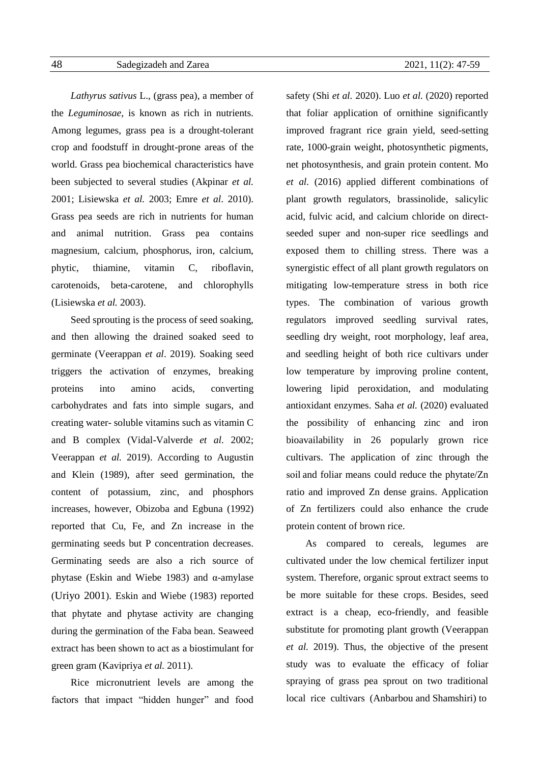*Lathyrus sativus* L., (grass pea), a member of the *Leguminosae*, is known as rich in nutrients. Among legumes, grass pea is a drought-tolerant crop and foodstuff in drought-prone areas of the world. Grass pea biochemical characteristics have been subjected to several studies (Akpinar *et al.* 2001; [Lisiewska](https://pubmed.ncbi.nlm.nih.gov/?term=Lisiewska+Z&cauthor_id=14727766) *et al.* 2003; Emre *et al*. 2010). Grass pea seeds are rich in nutrients for human and animal nutrition. Grass pea contains magnesium, calcium, phosphorus, iron, calcium, phytic, thiamine, vitamin C, riboflavin, carotenoids, beta-carotene, and chlorophylls [\(Lisiewska](https://pubmed.ncbi.nlm.nih.gov/?term=Lisiewska+Z&cauthor_id=14727766) *et al.* 2003).

Seed sprouting is the process of seed soaking, and then allowing the drained soaked seed to germinate (Veerappan *et al*. 2019). Soaking seed triggers the activation of enzymes, breaking proteins into amino acids, converting carbohydrates and fats into simple sugars, and creating water- soluble vitamins such as vitamin C and B complex (Vidal-Valverde *et al.* 2002; Veerappan *et al.* 2019). According to Augustin and Klein (1989), after seed germination, the content of potassium, zinc, and phosphors increases, however, Obizoba and Egbuna (1992) reported that Cu, Fe, and Zn increase in the germinating seeds but P concentration decreases. Germinating seeds are also a rich source of phytase (Eskin and Wiebe 1983) and α-amylase (Uriyo 2001). Eskin and Wiebe (1983) reported that phytate and phytase activity are changing during the germination of the Faba bean. Seaweed extract has been shown to act as a biostimulant for green gram (Kavipriya *et al.* 2011).

Rice micronutrient levels are among the factors that impact "hidden hunger" and food safety (Shi *et al.* 2020). Luo *et al.* (2020) reported that foliar application of ornithine significantly improved fragrant rice grain yield, seed-setting rate, 1000-grain weight, photosynthetic pigments, net photosynthesis, and grain protein content. Mo *et al.* (2016) applied different combinations of plant growth regulators, brassinolide, salicylic acid, fulvic acid, and calcium chloride on directseeded super and non-super rice seedlings and exposed them to chilling stress. There was a synergistic effect of all plant growth regulators on mitigating low-temperature stress in both rice types. The combination of various growth regulators improved seedling survival rates, seedling dry weight, root morphology, leaf area, and seedling height of both rice cultivars under low temperature by improving proline content, lowering lipid peroxidation, and modulating antioxidant enzymes. Saha *et al.* (2020) evaluated the possibility of enhancing zinc and iron bioavailability in 26 popularly grown rice cultivars. The application of zinc through the soil and foliar means could reduce the phytate/Zn ratio and improved Zn dense grains. Application of Zn fertilizers could also enhance the crude protein content of brown rice.

As compared to cereals, legumes are cultivated under the low chemical fertilizer input system. Therefore, organic sprout extract seems to be more suitable for these crops. Besides, seed extract is a cheap, eco-friendly, and feasible substitute for promoting plant growth (Veerappan *et al.* 2019). Thus, the objective of the present study was to evaluate the efficacy of foliar spraying of grass pea sprout on two traditional local rice cultivars (Anbarbou and Shamshiri) to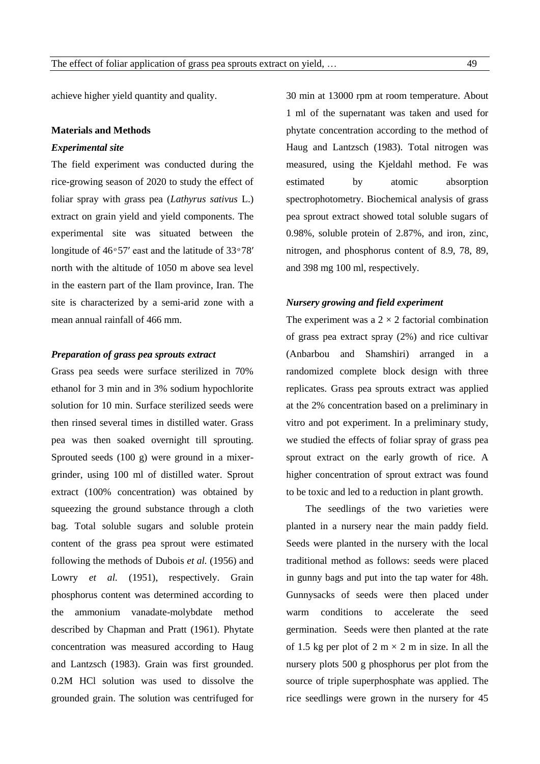achieve higher yield quantity and quality.

### **Materials and Methods**

### *Experimental site*

The field experiment was conducted during the rice-growing season of 2020 to study the effect of foliar spray with *g*rass pea (*Lathyrus sativus* L.) extract on grain yield and yield components. The experimental site was situated between the longitude of  $46°57'$  east and the latitude of  $33°78'$ north with the altitude of 1050 m above sea level in the eastern part of the Ilam province, Iran. The site is characterized by a semi-arid zone with a mean annual rainfall of 466 mm.

## *Preparation of grass pea sprouts extract*

Grass pea seeds were surface sterilized in 70% ethanol for 3 min and in 3% sodium hypochlorite solution for 10 min. Surface sterilized seeds were then rinsed several times in distilled water. Grass pea was then soaked overnight till sprouting. Sprouted seeds (100 g) were ground in a mixergrinder, using 100 ml of distilled water. Sprout extract (100% concentration) was obtained by squeezing the ground substance through a cloth bag. Total soluble sugars and soluble protein content of the grass pea sprout were estimated following the methods of Dubois *et al.* (1956) and Lowry *et al.* (1951), respectively. Grain phosphorus content was determined according to the ammonium vanadate-molybdate method described by Chapman and Pratt (1961). Phytate concentration was measured according to Haug and Lantzsch (1983). Grain was first grounded. 0.2M HCl solution was used to dissolve the grounded grain. The solution was centrifuged for 30 min at 13000 rpm at room temperature. About 1 ml of the supernatant was taken and used for phytate concentration according to the method of Haug and Lantzsch (1983). Total nitrogen was measured, using the Kjeldahl method. Fe was estimated by atomic absorption spectrophotometry. Biochemical analysis of grass pea sprout extract showed total soluble sugars of 0.98%, soluble protein of 2.87%, and iron, zinc, nitrogen, and phosphorus content of 8.9, 78, 89, and 398 mg 100 ml, respectively.

### *Nursery growing and field experiment*

The experiment was a  $2 \times 2$  factorial combination of grass pea extract spray (2%) and rice cultivar (Anbarbou and Shamshiri) arranged in a randomized complete block design with three replicates. Grass pea sprouts extract was applied at the 2% concentration based on a preliminary in vitro and pot experiment. In a preliminary study, we studied the effects of foliar spray of grass pea sprout extract on the early growth of rice. A higher concentration of sprout extract was found to be toxic and led to a reduction in plant growth.

The seedlings of the two varieties were planted in a nursery near the main paddy field. Seeds were planted in the nursery with the local traditional method as follows: seeds were placed in gunny bags and put into the tap water for 48h. Gunnysacks of seeds were then placed under warm conditions to accelerate the seed germination. Seeds were then planted at the rate of 1.5 kg per plot of 2 m  $\times$  2 m in size. In all the nursery plots 500 g phosphorus per plot from the source of triple superphosphate was applied. The rice seedlings were grown in the nursery for 45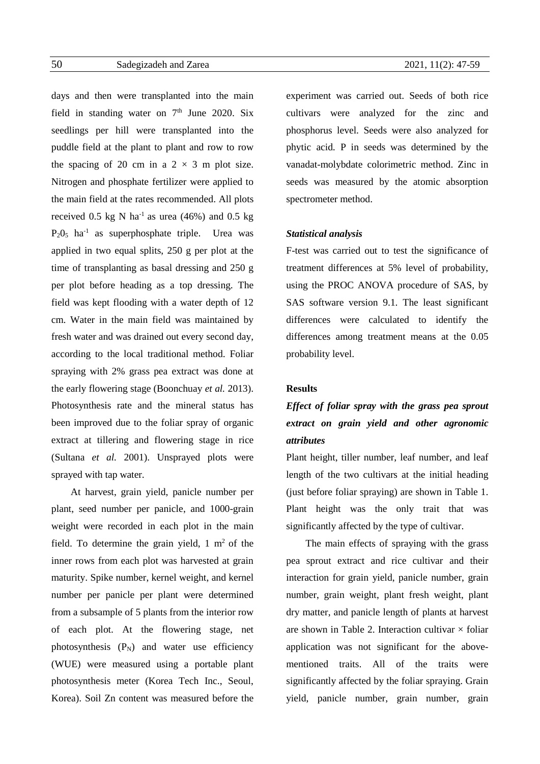days and then were transplanted into the main field in standing water on  $7<sup>th</sup>$  June 2020. Six seedlings per hill were transplanted into the puddle field at the plant to plant and row to row the spacing of 20 cm in a  $2 \times 3$  m plot size. Nitrogen and phosphate fertilizer were applied to the main field at the rates recommended. All plots received 0.5 kg N ha<sup>-1</sup> as urea (46%) and 0.5 kg  $P_2O_5$  ha<sup>-1</sup> as superphosphate triple. Urea was applied in two equal splits, 250 g per plot at the time of transplanting as basal dressing and 250 g per plot before heading as a top dressing. The field was kept flooding with a water depth of 12 cm. Water in the main field was maintained by fresh water and was drained out every second day, according to the local traditional method. Foliar spraying with 2% grass pea extract was done at the early flowering stage (Boonchuay *et al.* 2013). Photosynthesis rate and the mineral status has been improved due to the foliar spray of organic extract at tillering and flowering stage in rice (Sultana *et al.* 2001). Unsprayed plots were sprayed with tap water.

At harvest, grain yield, panicle number per plant, seed number per panicle, and 1000-grain weight were recorded in each plot in the main field. To determine the grain yield,  $1 \text{ m}^2$  of the inner rows from each plot was harvested at grain maturity. Spike number, kernel weight, and kernel number per panicle per plant were determined from a subsample of 5 plants from the interior row of each plot. At the flowering stage, net photosynthesis  $(P_N)$  and water use efficiency (WUE) were measured using a portable plant photosynthesis meter (Korea Tech Inc., Seoul, Korea). Soil Zn content was measured before the

experiment was carried out. Seeds of both rice cultivars were analyzed for the zinc and phosphorus level. Seeds were also analyzed for phytic acid. P in seeds was determined by the vanadat-molybdate colorimetric method. Zinc in seeds was measured by the atomic absorption spectrometer method.

### *Statistical analysis*

F-test was carried out to test the significance of treatment differences at 5% level of probability, using the PROC ANOVA procedure of SAS, by SAS software version 9.1. The least significant differences were calculated to identify the differences among treatment means at the 0.05 probability level.

### **Results**

# *Effect of foliar spray with the grass pea sprout extract on grain yield and other agronomic attributes*

Plant height, tiller number, leaf number, and leaf length of the two cultivars at the initial heading (just before foliar spraying) are shown in Table 1. Plant height was the only trait that was significantly affected by the type of cultivar.

The main effects of spraying with the grass pea sprout extract and rice cultivar and their interaction for grain yield, panicle number, grain number, grain weight, plant fresh weight, plant dry matter, and panicle length of plants at harvest are shown in Table 2. Interaction cultivar  $\times$  foliar application was not significant for the abovementioned traits. All of the traits were significantly affected by the foliar spraying. Grain yield, panicle number, grain number, grain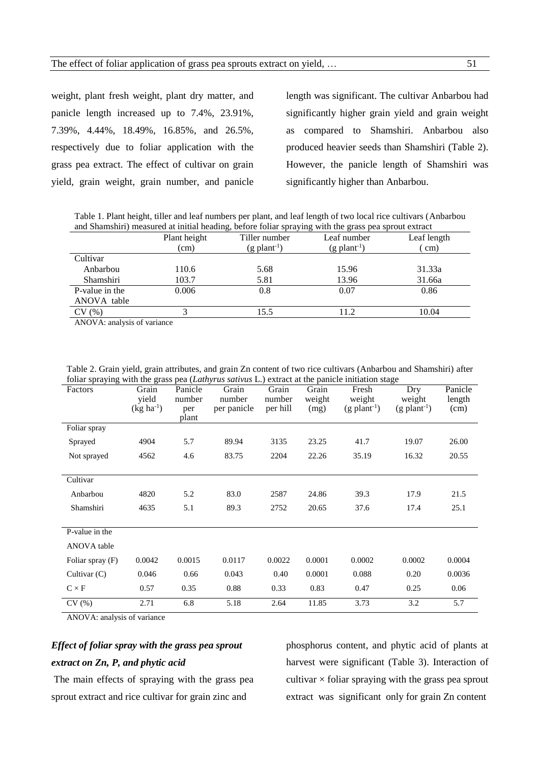weight, plant fresh weight, plant dry matter, and panicle length increased up to 7.4%, 23.91%, 7.39%, 4.44%, 18.49%, 16.85%, and 26.5%, respectively due to foliar application with the grass pea extract. The effect of cultivar on grain yield, grain weight, grain number, and panicle

length was significant. The cultivar Anbarbou had significantly higher grain yield and grain weight as compared to Shamshiri. Anbarbou also produced heavier seeds than Shamshiri (Table 2). However, the panicle length of Shamshiri was significantly higher than Anbarbou.

Table 1. Plant height, tiller and leaf numbers per plant, and leaf length of two local rice cultivars (Anbarbou and Shamshiri) measured at initial heading, before foliar spraying with the grass pea sprout extract

| <u>une onument, measures as minut neaumy, serore roma spraying while the grass pea sproat entire</u> |              |                            |                            |             |
|------------------------------------------------------------------------------------------------------|--------------|----------------------------|----------------------------|-------------|
|                                                                                                      | Plant height | Tiller number              | Leaf number                | Leaf length |
|                                                                                                      | (cm)         | $(g$ plant <sup>-1</sup> ) | $(g$ plant <sup>-1</sup> ) | cm)         |
| Cultivar                                                                                             |              |                            |                            |             |
| Anbarbou                                                                                             | 110.6        | 5.68                       | 15.96                      | 31.33a      |
| Shamshiri                                                                                            | 103.7        | 5.81                       | 13.96                      | 31.66a      |
| P-value in the                                                                                       | 0.006        | 0.8                        | 0.07                       | 0.86        |
| ANOVA table                                                                                          |              |                            |                            |             |
| CV(%)                                                                                                |              | 15.5                       | 11.2                       | 10.04       |
| $\Lambda NON/\Lambda$ onelygic of vertices                                                           |              |                            |                            |             |

ANOVA: analysis of variance

Table 2. Grain yield, grain attributes, and grain Zn content of two rice cultivars (Anbarbou and Shamshiri) after foliar spraying with the grass pea (*Lathyrus sativus* L.) extract at the panicle initiation stage

| Factors          | Grain<br>vield<br>$(kg ha^{-1})$ | Panicle<br>number<br>per<br>plant | Grain<br>number<br>per panicle | Grain<br>number<br>per hill | Grain<br>weight<br>(mg) | Fresh<br>weight<br>$(g$ plant <sup>-1</sup> ) | Dry<br>weight<br>$(g$ plant <sup>-1</sup> ) | Panicle<br>length<br>(cm) |
|------------------|----------------------------------|-----------------------------------|--------------------------------|-----------------------------|-------------------------|-----------------------------------------------|---------------------------------------------|---------------------------|
| Foliar spray     |                                  |                                   |                                |                             |                         |                                               |                                             |                           |
| Sprayed          | 4904                             | 5.7                               | 89.94                          | 3135                        | 23.25                   | 41.7                                          | 19.07                                       | 26.00                     |
| Not sprayed      | 4562                             | 4.6                               | 83.75                          | 2204                        | 22.26                   | 35.19                                         | 16.32                                       | 20.55                     |
|                  |                                  |                                   |                                |                             |                         |                                               |                                             |                           |
| Cultivar         |                                  |                                   |                                |                             |                         |                                               |                                             |                           |
| Anbarbou         | 4820                             | 5.2                               | 83.0                           | 2587                        | 24.86                   | 39.3                                          | 17.9                                        | 21.5                      |
| Shamshiri        | 4635                             | 5.1                               | 89.3                           | 2752                        | 20.65                   | 37.6                                          | 17.4                                        | 25.1                      |
| P-value in the   |                                  |                                   |                                |                             |                         |                                               |                                             |                           |
| ANOVA table      |                                  |                                   |                                |                             |                         |                                               |                                             |                           |
| Foliar spray (F) | 0.0042                           | 0.0015                            | 0.0117                         | 0.0022                      | 0.0001                  | 0.0002                                        | 0.0002                                      | 0.0004                    |
| Cultivar $(C)$   | 0.046                            | 0.66                              | 0.043                          | 0.40                        | 0.0001                  | 0.088                                         | 0.20                                        | 0.0036                    |
| $C \times F$     | 0.57                             | 0.35                              | 0.88                           | 0.33                        | 0.83                    | 0.47                                          | 0.25                                        | 0.06                      |
| CV(%)            | 2.71                             | 6.8                               | 5.18                           | 2.64                        | 11.85                   | 3.73                                          | 3.2                                         | 5.7                       |

ANOVA: analysis of variance

## *Effect of foliar spray with the grass pea sprout extract on Zn, P, and phytic acid*

The main effects of spraying with the grass pea sprout extract and rice cultivar for grain zinc and

phosphorus content, and phytic acid of plants at harvest were significant (Table 3). Interaction of cultivar  $\times$  foliar spraying with the grass pea sprout extract was significant only for grain Zn content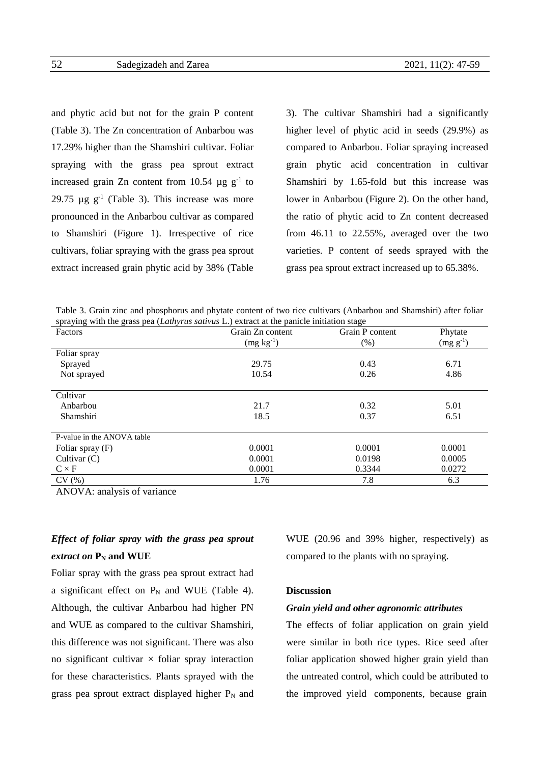and phytic acid but not for the grain P content (Table 3). The Zn concentration of Anbarbou was 17.29% higher than the Shamshiri cultivar. Foliar spraying with the grass pea sprout extract increased grain Zn content from 10.54  $\mu$ g g<sup>-1</sup> to 29.75  $\mu$ g g<sup>-1</sup> (Table 3). This increase was more pronounced in the Anbarbou cultivar as compared to Shamshiri (Figure 1). Irrespective of rice cultivars, foliar spraying with the grass pea sprout extract increased grain phytic acid by 38% (Table

3). The cultivar Shamshiri had a significantly higher level of phytic acid in seeds (29.9%) as compared to Anbarbou. Foliar spraying increased grain phytic acid concentration in cultivar Shamshiri by 1.65-fold but this increase was lower in Anbarbou (Figure 2). On the other hand, the ratio of phytic acid to Zn content decreased from 46.11 to 22.55%, averaged over the two varieties. P content of seeds sprayed with the grass pea sprout extract increased up to 65.38%.

Table 3. Grain zinc and phosphorus and phytate content of two rice cultivars (Anbarbou and Shamshiri) after foliar spraying with the grass pea (*Lathyrus sativus* L.) extract at the panicle initiation stage

| playing with the grupp peu (Bantyrius santrus El) extruer at the pumere intriation stuge<br>Factors | Grain Zn content | Grain P content | Phytate       |
|-----------------------------------------------------------------------------------------------------|------------------|-----------------|---------------|
|                                                                                                     | $(mg kg-1)$      | $(\% )$         | $(mg g^{-1})$ |
| Foliar spray                                                                                        |                  |                 |               |
| Sprayed                                                                                             | 29.75            | 0.43            | 6.71          |
| Not sprayed                                                                                         | 10.54            | 0.26            | 4.86          |
|                                                                                                     |                  |                 |               |
| Cultivar                                                                                            |                  |                 |               |
| Anbarbou                                                                                            | 21.7             | 0.32            | 5.01          |
| Shamshiri                                                                                           | 18.5             | 0.37            | 6.51          |
|                                                                                                     |                  |                 |               |
| P-value in the ANOVA table                                                                          |                  |                 |               |
| Foliar spray $(F)$                                                                                  | 0.0001           | 0.0001          | 0.0001        |
| Cultivar $(C)$                                                                                      | 0.0001           | 0.0198          | 0.0005        |
| $C \times F$                                                                                        | 0.0001           | 0.3344          | 0.0272        |
| CV(%)                                                                                               | 1.76             | 7.8             | 6.3           |

ANOVA: analysis of variance

## *Effect of foliar spray with the grass pea sprout extract on* **P<sup>N</sup> and WUE**

Foliar spray with the grass pea sprout extract had a significant effect on  $P_N$  and WUE (Table 4). Although, the cultivar Anbarbou had higher PN and WUE as compared to the cultivar Shamshiri, this difference was not significant. There was also no significant cultivar  $\times$  foliar spray interaction for these characteristics. Plants sprayed with the grass pea sprout extract displayed higher  $P_N$  and WUE (20.96 and 39% higher, respectively) as compared to the plants with no spraying.

## **Discussion**

#### *Grain yield and other agronomic attributes*

The effects of foliar application on grain yield were similar in both rice types. Rice seed after foliar application showed higher grain yield than the untreated control, which could be attributed to the improved yield components, because grain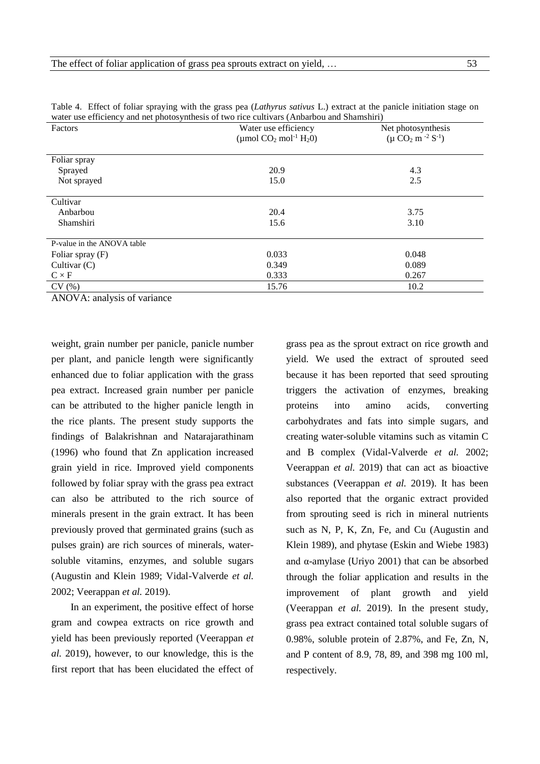| water use efficiency and net photosynthesis of two rice cultivars (Anoarbou and Shamshirf) |                                                  |                            |  |  |
|--------------------------------------------------------------------------------------------|--------------------------------------------------|----------------------------|--|--|
| Factors                                                                                    | Water use efficiency                             | Net photosynthesis         |  |  |
|                                                                                            | (µmol $CO_2$ mol <sup>-1</sup> H <sub>2</sub> 0) | $(\mu CO_2 m^{-2} S^{-1})$ |  |  |
|                                                                                            |                                                  |                            |  |  |
| Foliar spray                                                                               |                                                  |                            |  |  |
| Sprayed                                                                                    | 20.9                                             | 4.3                        |  |  |
| Not sprayed                                                                                | 15.0                                             | 2.5                        |  |  |
|                                                                                            |                                                  |                            |  |  |
| Cultivar                                                                                   |                                                  |                            |  |  |
| Anbarbou                                                                                   | 20.4                                             | 3.75                       |  |  |
| Shamshiri                                                                                  | 15.6                                             | 3.10                       |  |  |
|                                                                                            |                                                  |                            |  |  |
| P-value in the ANOVA table                                                                 |                                                  |                            |  |  |
| Foliar spray (F)                                                                           | 0.033                                            | 0.048                      |  |  |
| Cultivar $(C)$                                                                             | 0.349                                            | 0.089                      |  |  |
| $C \times F$                                                                               | 0.333                                            | 0.267                      |  |  |
| CV(%)                                                                                      | 15.76                                            | 10.2                       |  |  |

Table 4. Effect of foliar spraying with the grass pea (*Lathyrus sativus* L.) extract at the panicle initiation stage on water use efficiency and net photosynthesis of two rice cultivars (Anbarbou and Shamshiri)

ANOVA: analysis of variance

weight, grain number per panicle, panicle number per plant, and panicle length were significantly enhanced due to foliar application with the grass pea extract. Increased grain number per panicle can be attributed to the higher panicle length in the rice plants. The present study supports the findings of Balakrishnan and Natarajarathinam (1996) who found that Zn application increased grain yield in rice. Improved yield components followed by foliar spray with the grass pea extract can also be attributed to the rich source of minerals present in the grain extract. It has been previously proved that germinated grains (such as pulses grain) are rich sources of minerals, watersoluble vitamins, enzymes, and soluble sugars (Augustin and Klein 1989; Vidal-Valverde *et al.* 2002; Veerappan *et al.* 2019).

In an experiment, the positive effect of horse gram and cowpea extracts on rice growth and yield has been previously reported (Veerappan *et al.* 2019), however, to our knowledge, this is the first report that has been elucidated the effect of grass pea as the sprout extract on rice growth and yield. We used the extract of sprouted seed because it has been reported that seed sprouting triggers the activation of enzymes, breaking proteins into amino acids, converting carbohydrates and fats into simple sugars, and creating water-soluble vitamins such as vitamin C and B complex (Vidal-Valverde *et al.* 2002; Veerappan *et al.* 2019) that can act as bioactive substances (Veerappan *et al.* 2019). It has been also reported that the organic extract provided from sprouting seed is rich in mineral nutrients such as N, P, K, Zn, Fe, and Cu (Augustin and Klein 1989), and phytase (Eskin and Wiebe 1983) and  $\alpha$ -amylase (Uriyo 2001) that can be absorbed through the foliar application and results in the improvement of plant growth and yield (Veerappan *et al.* 2019). In the present study, grass pea extract contained total soluble sugars of 0.98%, soluble protein of 2.87%, and Fe, Zn, N, and P content of 8.9, 78, 89, and 398 mg 100 ml, respectively.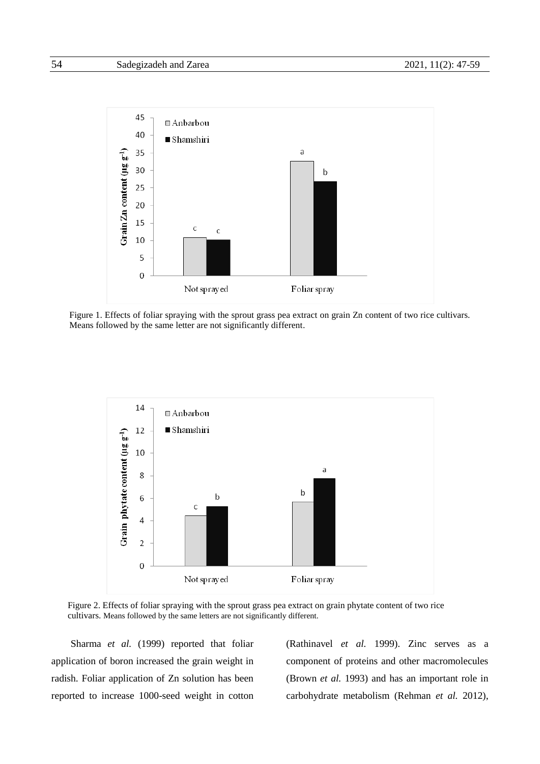

Figure 1. Effects of foliar spraying with the sprout grass pea extract on grain Zn content of two rice cultivars. Means followed by the same letter are not significantly different.



Figure 2. Effects of foliar spraying with the sprout grass pea extract on grain phytate content of two rice cultivars. Means followed by the same letters are not significantly different.

Sharma *et al.* (1999) reported that foliar application of boron increased the grain weight in radish. Foliar application of Zn solution has been reported to increase 1000-seed weight in cotton

(Rathinavel *et al.* 1999). Zinc serves as a component of proteins and other macromolecules (Brown *et al.* 1993) and has an important role in carbohydrate metabolism (Rehman *et al.* 2012),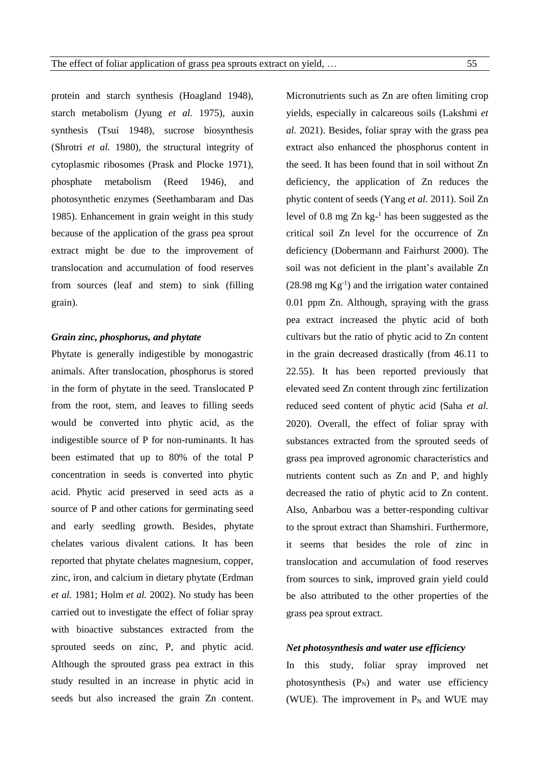protein and starch synthesis (Hoagland 1948), starch metabolism (Jyung *et al.* 1975), auxin synthesis (Tsui 1948), sucrose biosynthesis (Shrotri *et al.* 1980), the structural integrity of cytoplasmic ribosomes (Prask and Plocke 1971), phosphate metabolism (Reed 1946), and photosynthetic enzymes (Seethambaram and Das 1985). Enhancement in grain weight in this study because of the application of the grass pea sprout extract might be due to the improvement of translocation and accumulation of food reserves from sources (leaf and stem) to sink (filling grain).

## *Grain zinc, phosphorus, and phytate*

Phytate is generally indigestible by monogastric animals. After translocation, phosphorus is stored in the form of phytate in the seed. Translocated P from the root, stem, and leaves to filling seeds would be converted into phytic acid, as the indigestible source of P for non-ruminants. It has been estimated that up to 80% of the total P concentration in seeds is converted into phytic acid. Phytic acid preserved in seed acts as a source of P and other cations for germinating seed and early seedling growth. Besides, phytate chelates various divalent cations. It has been reported that phytate chelates magnesium, copper, zinc, iron, and calcium in dietary phytate (Erdman *et al.* 1981; Holm *et al.* 2002). No study has been carried out to investigate the effect of foliar spray with bioactive substances extracted from the sprouted seeds on zinc, P, and phytic acid. Although the sprouted grass pea extract in this study resulted in an increase in phytic acid in seeds but also increased the grain Zn content. Micronutrients such as Zn are often limiting crop yields, especially in calcareous soils (Lakshmi *et al.* 2021). Besides, foliar spray with the grass pea extract also enhanced the phosphorus content in the seed. It has been found that in soil without Zn deficiency, the application of Zn reduces the phytic content of seeds (Yang *et al.* 2011). Soil Zn level of 0.8 mg  $Zn$  kg- $1$  has been suggested as the critical soil Zn level for the occurrence of Zn deficiency (Dobermann and Fairhurst 2000). The soil was not deficient in the plant's available Zn  $(28.98 \text{ mg} \text{ Kg}^{-1})$  and the irrigation water contained 0.01 ppm Zn. Although, spraying with the grass pea extract increased the phytic acid of both cultivars but the ratio of phytic acid to Zn content in the grain decreased drastically (from 46.11 to 22.55). It has been reported previously that elevated seed Zn content through zinc fertilization reduced seed content of phytic acid (Saha *et al.* 2020). Overall, the effect of foliar spray with substances extracted from the sprouted seeds of grass pea improved agronomic characteristics and nutrients content such as Zn and P, and highly decreased the ratio of phytic acid to Zn content. Also, Anbarbou was a better-responding cultivar to the sprout extract than Shamshiri. Furthermore, it seems that besides the role of zinc in translocation and accumulation of food reserves from sources to sink, improved grain yield could be also attributed to the other properties of the grass pea sprout extract.

### *Net photosynthesis and water use efficiency*

In this study, foliar spray improved net photosynthesis  $(P_N)$  and water use efficiency (WUE). The improvement in  $P_N$  and WUE may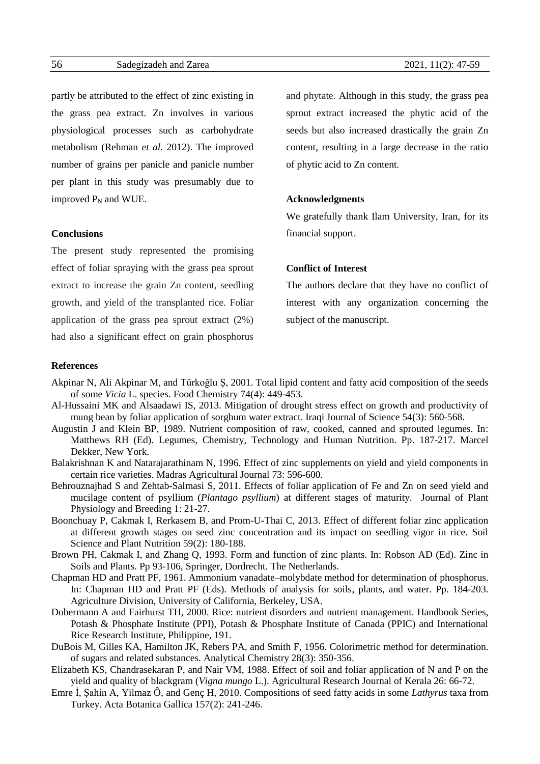partly be attributed to the effect of zinc existing in the grass pea extract. Zn involves in various physiological processes such as carbohydrate metabolism (Rehman *et al.* 2012). The improved number of grains per panicle and panicle number per plant in this study was presumably due to improved  $P_N$  and WUE.

**Conclusions**

The present study represented the promising effect of foliar spraying with the grass pea sprout extract to increase the grain Zn content, seedling growth, and yield of the transplanted rice. Foliar application of the grass pea sprout extract (2%) had also a significant effect on grain phosphorus

and phytate. Although in this study, the grass pea sprout extract increased the phytic acid of the seeds but also increased drastically the grain Zn content, resulting in a large decrease in the ratio of phytic acid to Zn content.

### **Acknowledgments**

We gratefully thank Ilam University, Iran, for its financial support.

### **Conflict of Interest**

The authors declare that they have no conflict of interest with any organization concerning the subject of the manuscript.

### **References**

- Akpinar N, Ali Akpinar M, and Türkoğlu Ş, 2001. Total lipid content and fatty acid composition of the seeds of some *Vicia* L. species. Food Chemistry 74(4): 449-453.
- Al-Hussaini MK and Alsaadawi IS, 2013. Mitigation of drought stress effect on growth and productivity of mung bean by foliar application of sorghum water extract. Iraqi Journal of Science 54(3): 560-568.
- Augustin J and Klein BP, 1989. Nutrient composition of raw, cooked, canned and sprouted legumes. In: Matthews RH (Ed). Legumes, Chemistry, Technology and Human Nutrition. Pp. 187-217. Marcel Dekker, New York.
- Balakrishnan K and Natarajarathinam N, 1996. Effect of zinc supplements on yield and yield components in certain rice varieties. Madras Agricultural Journal 73: 596-600.
- Behrouznajhad S and [Zehtab-Salmasi](https://breeding.tabrizu.ac.ir/?_action=article&au=17886&_au=Saeid++Zehtab-Salmasi) S, 2011. Effects of foliar application of Fe and Zn on seed yield and mucilage content of psyllium (*Plantago psyllium*) at different stages of maturity. Journal of Plant Physiology and Breeding 1: 21-27.
- Boonchuay P, Cakmak I, Rerkasem B, and Prom-U-Thai C, 2013. Effect of different foliar zinc application at different growth stages on seed zinc concentration and its impact on seedling vigor in rice. Soil Science and Plant Nutrition 59(2): 180-188.
- Brown PH, Cakmak I, and Zhang Q, 1993. Form and function of zinc plants. In: Robson AD (Ed). Zinc in Soils and Plants. Pp 93-106, Springer, Dordrecht. The Netherlands.
- Chapman HD and Pratt PF, 1961. Ammonium vanadate–molybdate method for determination of phosphorus. In: Chapman HD and Pratt PF (Eds). Methods of analysis for soils, plants, and water. Pp. 184-203. Agriculture Division, University of California, Berkeley, USA.
- Dobermann A and Fairhurst TH, 2000. Rice: nutrient disorders and nutrient management. Handbook Series, Potash & Phosphate Institute (PPI), Potash & Phosphate Institute of Canada (PPIC) and International Rice Research Institute, Philippine, 191.
- DuBois M, Gilles KA, Hamilton JK, Rebers PA, and Smith F, 1956. Colorimetric method for determination. of sugars and related substances. Analytical Chemistry 28(3): 350-356.
- Elizabeth KS, Chandrasekaran P, and Nair VM, 1988. Effect of soil and foliar application of N and P on the yield and quality of blackgram (*Vigna mungo* L.). Agricultural Research Journal of Kerala 26: 66-72.
- Emre İ, Şahin A, Yilmaz Ô, and Genç H, 2010. Compositions of seed fatty acids in some *Lathyrus* taxa from Turkey. Acta Botanica Gallica 157(2): 241-246.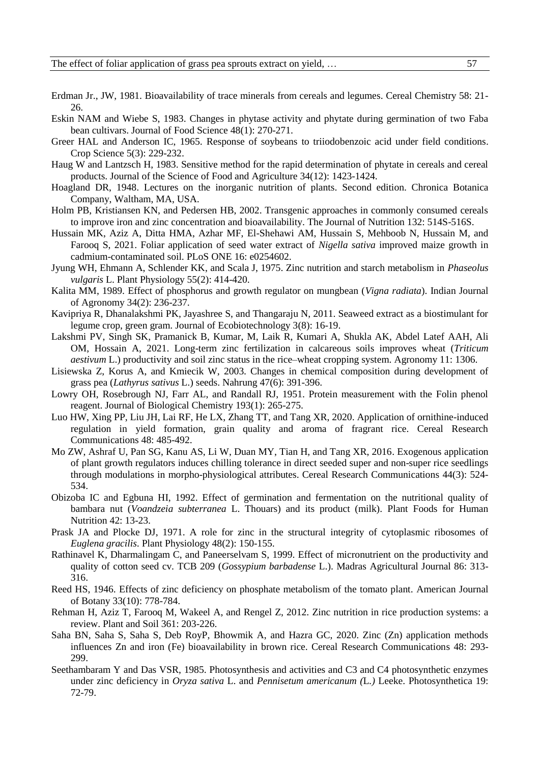- Erdman Jr., JW, 1981. Bioavailability of trace minerals from cereals and legumes. Cereal Chemistry 58: 21- 26.
- Eskin NAM and Wiebe S, 1983. Changes in phytase activity and phytate during germination of two Faba bean cultivars. Journal of Food Science 48(1): 270-271.
- Greer HAL and Anderson IC, 1965. Response of soybeans to triiodobenzoic acid under field conditions. Crop Science 5(3): 229-232.
- Haug W and Lantzsch H, 1983. Sensitive method for the rapid determination of phytate in cereals and cereal products. Journal of the Science of Food and Agriculture 34(12): 1423-1424.
- Hoagland DR, 1948. Lectures on the inorganic nutrition of plants. Second edition. Chronica Botanica Company, Waltham, MA, USA.
- Holm PB, Kristiansen KN, and Pedersen HB, 2002. Transgenic approaches in commonly consumed cereals to improve iron and zinc concentration and bioavailability. The Journal of Nutrition 132: 514S-516S.
- Hussain MK, Aziz A, Ditta HMA, Azhar MF, El-Shehawi AM, Hussain S, Mehboob N, Hussain M, and Farooq S, 2021. Foliar application of seed water extract of *Nigella sativa* improved maize growth in cadmium-contaminated soil. PLoS ONE 16: e0254602.
- Jyung WH, Ehmann A, Schlender KK, and Scala J, 1975. Zinc nutrition and starch metabolism in *Phaseolus vulgaris* L. Plant Physiology 55(2): 414-420.
- Kalita MM, 1989. Effect of phosphorus and growth regulator on mungbean (*Vigna radiata*). Indian Journal of Agronomy 34(2): 236-237.
- Kavipriya R, Dhanalakshmi PK, Jayashree S, and Thangaraju N, 2011. Seaweed extract as a biostimulant for legume crop, green gram. Journal of Ecobiotechnology 3(8): 16-19.
- Lakshmi PV, Singh SK, Pramanick B, Kumar, M, Laik R, Kumari A, Shukla AK, Abdel Latef AAH, Ali OM, Hossain A, 2021. Long-term zinc fertilization in calcareous soils improves wheat (*Triticum aestivum* L.) productivity and soil zinc status in the rice–wheat cropping system. Agronomy 11: 1306.
- [Lisiewska](https://pubmed.ncbi.nlm.nih.gov/?term=Lisiewska+Z&cauthor_id=14727766) Z, Korus A, and [Kmiecik](https://pubmed.ncbi.nlm.nih.gov/?term=Kmiecik+W&cauthor_id=14727766) W, 2003. Changes in chemical composition during development of grass pea (*Lathyrus sativus* L.) seeds. Nahrung 47(6): 391-396.
- Lowry OH, Rosebrough NJ, Farr AL, and Randall RJ, 1951. Protein measurement with the Folin phenol reagent. Journal of Biological Chemistry 193(1): 265-275.
- Luo HW, Xing PP, Liu JH, Lai RF, He LX, Zhang TT, and Tang XR, 2020. Application of ornithine-induced regulation in yield formation, grain quality and aroma of fragrant rice. Cereal Research Communications 48: 485-492.
- Mo ZW, Ashraf U, Pan SG, Kanu AS, Li W, Duan MY, Tian H, and Tang XR, 2016. Exogenous application of plant growth regulators induces chilling tolerance in direct seeded super and non-super rice seedlings through modulations in morpho-physiological attributes. Cereal Research Communications 44(3): 524- 534.
- Obizoba IC and Egbuna HI, 1992. Effect of germination and fermentation on the nutritional quality of bambara nut (*Voandzeia subterranea* L. Thouars) and its product (milk). Plant Foods for Human Nutrition 42: 13-23.
- Prask JA and Plocke DJ, 1971. A role for zinc in the structural integrity of cytoplasmic ribosomes of *Euglena gracilis*. Plant Physiology 48(2): 150-155.
- Rathinavel K, Dharmalingam C, and Paneerselvam S, 1999. Effect of micronutrient on the productivity and quality of cotton seed cv. TCB 209 (*Gossypium barbadense* L.). Madras Agricultural Journal 86: 313- 316.
- Reed HS, 1946. Effects of zinc deficiency on phosphate metabolism of the tomato plant. American Journal of Botany 33(10): 778-784.
- Rehman H, Aziz T, Farooq M, Wakeel A, and Rengel Z, 2012. Zinc nutrition in rice production systems: a review. Plant and Soil 361: 203-226.
- Saha BN, Saha S, Saha S, Deb RoyP, Bhowmik A, and Hazra GC, 2020. Zinc (Zn) application methods influences Zn and iron (Fe) bioavailability in brown rice. Cereal Research Communications 48: 293- 299.
- Seethambaram Y and Das VSR, 1985. Photosynthesis and activities and C3 and C4 photosynthetic enzymes under zinc deficiency in *Oryza sativa* L. and *Pennisetum americanum (*L*.)* Leeke. Photosynthetica 19: 72-79.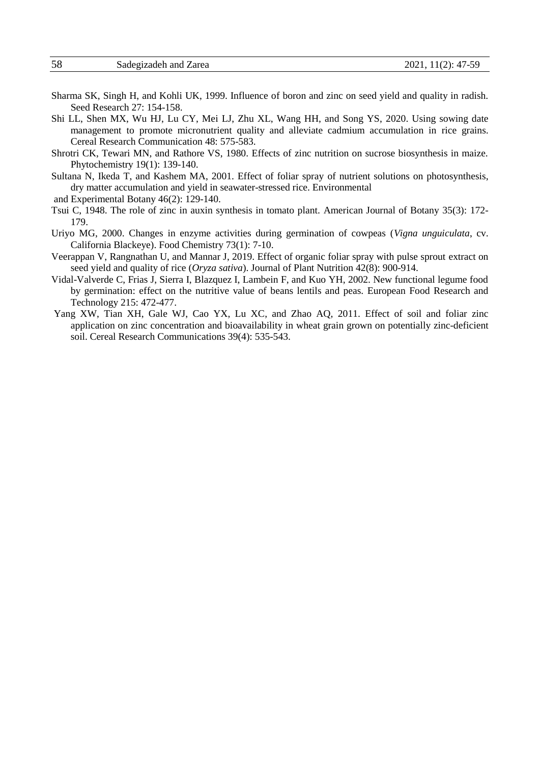- Sharma SK, Singh H, and Kohli UK, 1999. Influence of boron and zinc on seed yield and quality in radish. Seed Research 27: 154-158.
- Shi LL, Shen MX, Wu HJ, Lu CY, Mei LJ, Zhu XL, Wang HH, and Song YS, 2020. Using sowing date management to promote micronutrient quality and alleviate cadmium accumulation in rice grains. Cereal Research Communication 48: 575-583.
- Shrotri CK, Tewari MN, and Rathore VS, 1980. Effects of zinc nutrition on sucrose biosynthesis in maize. Phytochemistry 19(1): 139-140.
- Sultana N, Ikeda T, and Kashem MA, 2001. Effect of foliar spray of nutrient solutions on photosynthesis, dry matter accumulation and yield in seawater-stressed rice. Environmental
- and Experimental Botany 46(2): 129-140.
- Tsui C, 1948. The role of zinc in auxin synthesis in tomato plant. American Journal of Botany 35(3): 172- 179.
- Uriyo MG, 2000. Changes in enzyme activities during germination of cowpeas (*Vigna unguiculata*, cv. California Blackeye). Food Chemistry 73(1): 7-10.
- Veerappan V, Rangnathan U, and Mannar J, 2019. Effect of organic foliar spray with pulse sprout extract on seed yield and quality of rice (*Oryza sativa*). Journal of Plant Nutrition 42(8): 900-914.
- Vidal-Valverde C, Frias J, Sierra I, Blazquez I, Lambein F, and Kuo YH, 2002. New functional legume food by germination: effect on the nutritive value of beans lentils and peas. European Food Research and Technology 215: 472-477.
- Yang XW, Tian XH, Gale WJ, Cao YX, Lu XC, and Zhao AQ, 2011. Effect of soil and foliar zinc application on zinc concentration and bioavailability in wheat grain grown on potentially zinc-deficient soil. Cereal Research Communications 39(4): 535-543.